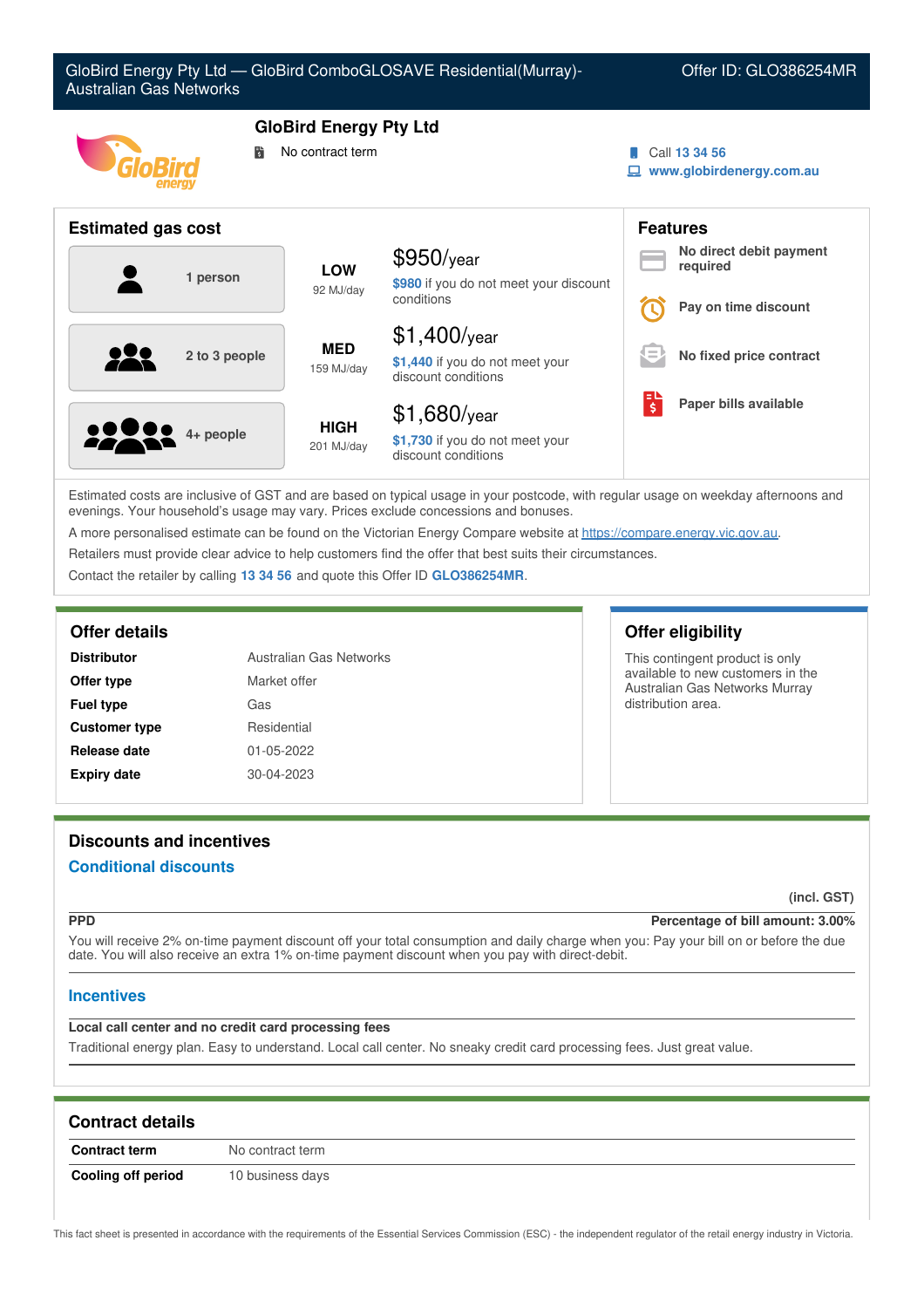

Estimated costs are inclusive of GST and are based on typical usage in your postcode, with regular usage on weekday afternoons and evenings. Your household's usage may vary. Prices exclude concessions and bonuses.

A more personalised estimate can be found on the Victorian Energy Compare website at <https://compare.energy.vic.gov.au>.

Retailers must provide clear advice to help customers find the offer that best suits their circumstances.

Contact the retailer by calling **13 34 56** and quote this Offer ID **GLO386254MR**.

| <b>Distributor</b>   | Australian Gas Networks |
|----------------------|-------------------------|
| Offer type           | Market offer            |
| <b>Fuel type</b>     | Gas                     |
| <b>Customer type</b> | Residential             |
| Release date         | 01-05-2022              |
| <b>Expiry date</b>   | 30-04-2023              |

## **Offer details Offer eligibility**

This contingent product is only available to new customers in the Australian Gas Networks Murray distribution area.

# **Discounts and incentives**

## **Conditional discounts**

**(incl. GST)**

## **PPD Percentage of bill amount: 3.00%**

You will receive 2% on-time payment discount off your total consumption and daily charge when you: Pay your bill on or before the due date. You will also receive an extra 1% on-time payment discount when you pay with direct-debit.

## **Incentives**

## **Local call center and no credit card processing fees**

Traditional energy plan. Easy to understand. Local call center. No sneaky credit card processing fees. Just great value.

| <b>Contract details</b> |                  |
|-------------------------|------------------|
| <b>Contract term</b>    | No contract term |
| Cooling off period      | 10 business days |

This fact sheet is presented in accordance with the requirements of the Essential Services Commission (ESC) - the independent regulator of the retail energy industry in Victoria.